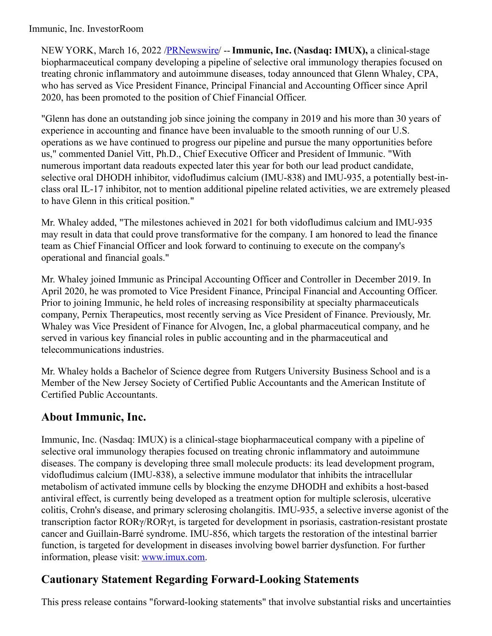### Immunic, Inc. InvestorRoom

NEW YORK, March 16, 2022 [/PRNewswire](http://www.prnewswire.com/)/ --**Immunic, Inc. (Nasdaq: IMUX),** a clinical-stage biopharmaceutical company developing a pipeline of selective oral immunology therapies focused on treating chronic inflammatory and autoimmune diseases, today announced that Glenn Whaley, CPA, who has served as Vice President Finance, Principal Financial and Accounting Officer since April 2020, has been promoted to the position of Chief Financial Officer.

"Glenn has done an outstanding job since joining the company in 2019 and his more than 30 years of experience in accounting and finance have been invaluable to the smooth running of our U.S. operations as we have continued to progress our pipeline and pursue the many opportunities before us," commented Daniel Vitt, Ph.D., Chief Executive Officer and President of Immunic. "With numerous important data readouts expected later this year for both our lead product candidate, selective oral DHODH inhibitor, vidofludimus calcium (IMU-838) and IMU-935, a potentially best-inclass oral IL-17 inhibitor, not to mention additional pipeline related activities, we are extremely pleased to have Glenn in this critical position."

Mr. Whaley added, "The milestones achieved in 2021 for both vidofludimus calcium and IMU-935 may result in data that could prove transformative for the company. I am honored to lead the finance team as Chief Financial Officer and look forward to continuing to execute on the company's operational and financial goals."

Mr. Whaley joined Immunic as Principal Accounting Officer and Controller in December 2019. In April 2020, he was promoted to Vice President Finance, Principal Financial and Accounting Officer. Prior to joining Immunic, he held roles of increasing responsibility at specialty pharmaceuticals company, Pernix Therapeutics, most recently serving as Vice President of Finance. Previously, Mr. Whaley was Vice President of Finance for Alvogen, Inc, a global pharmaceutical company, and he served in various key financial roles in public accounting and in the pharmaceutical and telecommunications industries.

Mr. Whaley holds a Bachelor of Science degree from Rutgers University Business School and is a Member of the New Jersey Society of Certified Public Accountants and the American Institute of Certified Public Accountants.

## **About Immunic, Inc.**

Immunic, Inc. (Nasdaq: IMUX) is a clinical-stage biopharmaceutical company with a pipeline of selective oral immunology therapies focused on treating chronic inflammatory and autoimmune diseases. The company is developing three small molecule products: its lead development program, vidofludimus calcium (IMU-838), a selective immune modulator that inhibits the intracellular metabolism of activated immune cells by blocking the enzyme DHODH and exhibits a host-based antiviral effect, is currently being developed as a treatment option for multiple sclerosis, ulcerative colitis, Crohn's disease, and primary sclerosing cholangitis. IMU-935, a selective inverse agonist of the transcription factor RORγ/RORγt, is targeted for development in psoriasis, castration-resistant prostate cancer and Guillain-Barré syndrome. IMU-856, which targets the restoration of the intestinal barrier function, is targeted for development in diseases involving bowel barrier dysfunction. For further information, please visit: [www.imux.com](https://c212.net/c/link/?t=0&l=en&o=3473729-1&h=50521623&u=http%3A%2F%2Fwww.imux.com%2F&a=www.imux.com).

# **Cautionary Statement Regarding Forward-Looking Statements**

This press release contains "forward-looking statements" that involve substantial risks and uncertainties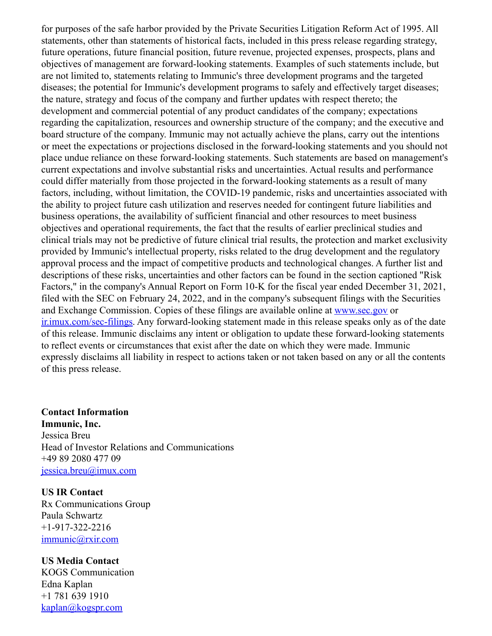for purposes of the safe harbor provided by the Private Securities Litigation Reform Act of 1995. All statements, other than statements of historical facts, included in this press release regarding strategy, future operations, future financial position, future revenue, projected expenses, prospects, plans and objectives of management are forward-looking statements. Examples of such statements include, but are not limited to, statements relating to Immunic's three development programs and the targeted diseases; the potential for Immunic's development programs to safely and effectively target diseases; the nature, strategy and focus of the company and further updates with respect thereto; the development and commercial potential of any product candidates of the company; expectations regarding the capitalization, resources and ownership structure of the company; and the executive and board structure of the company. Immunic may not actually achieve the plans, carry out the intentions or meet the expectations or projections disclosed in the forward-looking statements and you should not place undue reliance on these forward-looking statements. Such statements are based on management's current expectations and involve substantial risks and uncertainties. Actual results and performance could differ materially from those projected in the forward-looking statements as a result of many factors, including, without limitation, the COVID-19 pandemic, risks and uncertainties associated with the ability to project future cash utilization and reserves needed for contingent future liabilities and business operations, the availability of sufficient financial and other resources to meet business objectives and operational requirements, the fact that the results of earlier preclinical studies and clinical trials may not be predictive of future clinical trial results, the protection and market exclusivity provided by Immunic's intellectual property, risks related to the drug development and the regulatory approval process and the impact of competitive products and technological changes. A further list and descriptions of these risks, uncertainties and other factors can be found in the section captioned "Risk Factors," in the company's Annual Report on Form 10-K for the fiscal year ended December 31, 2021, filed with the SEC on February 24, 2022, and in the company's subsequent filings with the Securities and Exchange Commission. Copies of these filings are available online at [www.sec.gov](https://c212.net/c/link/?t=0&l=en&o=3473729-1&h=1057702476&u=http%3A%2F%2Fwww.sec.gov&a=www.sec.gov) or [ir.imux.com/sec-filings](https://c212.net/c/link/?t=0&l=en&o=3473729-1&h=4003630648&u=http%3A%2F%2Fir.imux.com%2Fsec-filings&a=ir.imux.com%2Fsec-filings). Any forward-looking statement made in this release speaks only as of the date of this release. Immunic disclaims any intent or obligation to update these forward-looking statements to reflect events or circumstances that exist after the date on which they were made. Immunic expressly disclaims all liability in respect to actions taken or not taken based on any or all the contents of this press release.

#### **Contact Information Immunic, Inc.**

Jessica Breu Head of Investor Relations and Communications +49 89 2080 477 09 [jessica.breu@imux.com](mailto:jessica.breu@imux.com)

## **US IR Contact**

Rx Communications Group Paula Schwartz +1-917-322-2216 [immunic@rxir.com](mailto:immunic@rxir.com)

### **US Media Contact**

KOGS Communication Edna Kaplan +1 781 639 1910 [kaplan@kogspr.com](mailto:kaplan@kogspr.com)